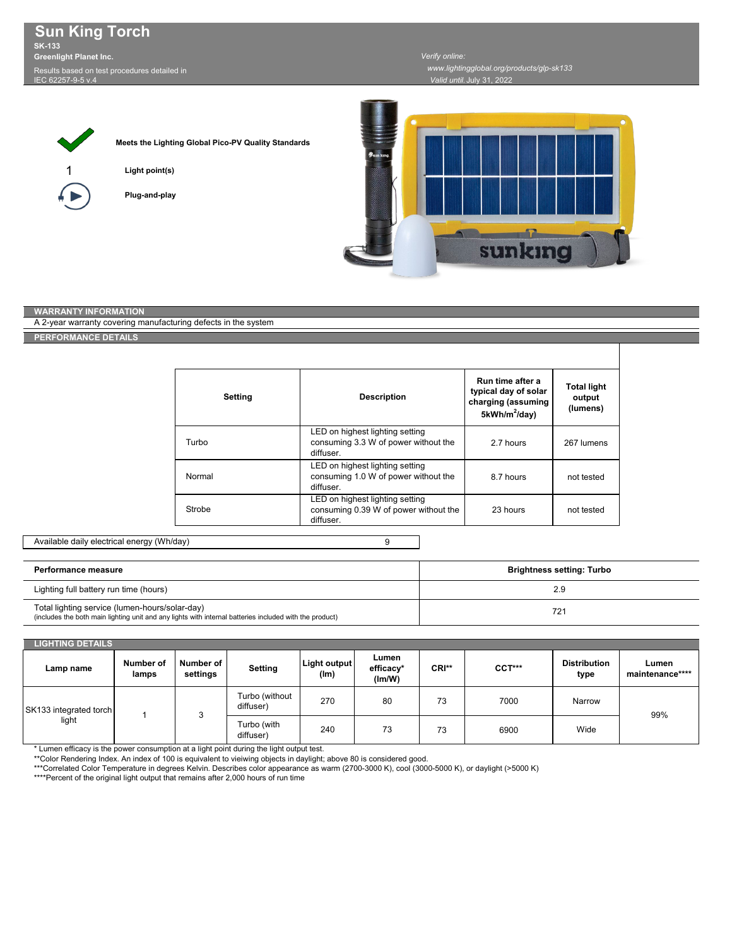**Sun King Torch SK-133 Greenlight Planet Inc.** Results based on test procedures detailed in IEC 62257-9-5 v.4

*Valid until:* July 31, 2022



**Meets the Lighting Global Pico-PV Quality Standards**

**Light point(s)**

**Plug-and-play**



## **WARRANTY INFORMATION**

A 2-year warranty covering manufacturing defects in the system

## **PERFORMANCE DETAILS**

| Setting | <b>Description</b>                                                                    | Run time after a<br>typical day of solar<br>charging (assuming<br>$5kWh/m^2/day$ | <b>Total light</b><br>output<br>(lumens) |  |
|---------|---------------------------------------------------------------------------------------|----------------------------------------------------------------------------------|------------------------------------------|--|
| Turbo   | LED on highest lighting setting<br>consuming 3.3 W of power without the<br>diffuser.  | 2.7 hours                                                                        | 267 lumens                               |  |
| Normal  | LED on highest lighting setting<br>consuming 1.0 W of power without the<br>diffuser.  | 8.7 hours                                                                        | not tested                               |  |
| Strobe  | LED on highest lighting setting<br>consuming 0.39 W of power without the<br>diffuser. | 23 hours                                                                         | not tested                               |  |

9

## Available daily electrical energy (Wh/day)

| Performance measure                                                                                                                                       | <b>Brightness setting: Turbo</b> |  |  |
|-----------------------------------------------------------------------------------------------------------------------------------------------------------|----------------------------------|--|--|
| Lighting full battery run time (hours)                                                                                                                    | 2.9                              |  |  |
| Total lighting service (lumen-hours/solar-day)<br>(includes the both main lighting unit and any lights with internal batteries included with the product) | 721                              |  |  |

| <b>LIGHTING DETAILS</b>         |                    |                       |                             |                          |                              |       |        |                             |                          |
|---------------------------------|--------------------|-----------------------|-----------------------------|--------------------------|------------------------------|-------|--------|-----------------------------|--------------------------|
| Lamp name                       | Number of<br>lamps | Number of<br>settings | <b>Setting</b>              | Light output<br>(lm)     | Lumen<br>efficacy*<br>(lm/W) | CRI** | CCT*** | <b>Distribution</b><br>type | Lumen<br>maintenance**** |
| SK133 integrated torch<br>light |                    |                       | Turbo (without<br>diffuser) | 270                      | 80                           | 73    | 7000   | Narrow                      | 99%                      |
|                                 |                    |                       |                             | Turbo (with<br>diffuser) | 240                          | 73    | 73     | 6900                        | Wide                     |

\* Lumen efficacy is the power consumption at a light point during the light output test.

\*\*Color Rendering Index. An index of 100 is equivalent to vieiwing objects in daylight; above 80 is considered good.

\*\*\*Correlated Color Temperature in degrees Kelvin. Describes color appearance as warm (2700-3000 K), cool (3000-5000 K), or daylight (>5000 K)

\*\*\*\*Percent of the original light output that remains after 2,000 hours of run time